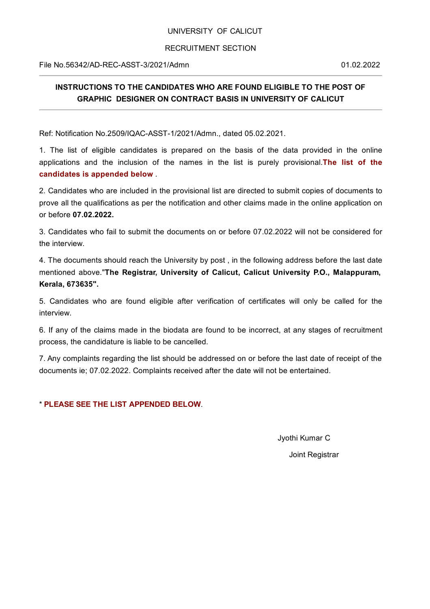## UNIVERSITY OF CALICUT

## RECRUITMENT SECTION

File No.56342/AD-REC-ASST-3/2021/Admn 01.02.2022

## **INSTRUCTIONS TO THE CANDIDATES WHO ARE FOUND ELIGIBLE TO THE POST OF GRAPHIC DESIGNER ON CONTRACT BASIS IN UNIVERSITY OF CALICUT**

Ref: Notification No.2509/IQAC-ASST-1/2021/Admn., dated 05.02.2021.

1. The list of eligible candidates is prepared on the basis of the data provided in the online applications and the inclusion of the names in the list is purely provisional.**The list of the candidates is appended below** .

2. Candidates who are included in the provisional list are directed to submit copies of documents to prove all the qualifications as per the notification and other claims made in the online application on or before **07.02.2022.**

3. Candidates who fail to submit the documents on or before 07.02.2022 will not be considered for the interview.

4. The documents should reach the University by post , in the following address before the last date mentioned above."**The Registrar, University of Calicut, Calicut University P.O., Malappuram, Kerala, 673635".**

5. Candidates who are found eligible after verification of certificates will only be called for the interview.

6. If any of the claims made in the biodata are found to be incorrect, at any stages of recruitment process, the candidature is liable to be cancelled.

7. Any complaints regarding the list should be addressed on or before the last date of receipt of the documents ie; 07.02.2022. Complaints received after the date will not be entertained.

\* **PLEASE SEE THE LIST APPENDED BELOW**.

Jyothi Kumar C

Joint Registrar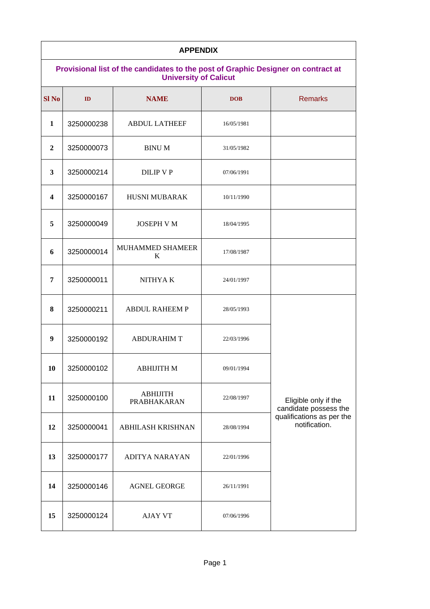| <b>APPENDIX</b>                                                                                                   |            |                          |            |                                                                                             |  |
|-------------------------------------------------------------------------------------------------------------------|------------|--------------------------|------------|---------------------------------------------------------------------------------------------|--|
| Provisional list of the candidates to the post of Graphic Designer on contract at<br><b>University of Calicut</b> |            |                          |            |                                                                                             |  |
| Sl <sub>No</sub>                                                                                                  | ID         | <b>NAME</b>              | <b>DOB</b> | <b>Remarks</b>                                                                              |  |
| 1                                                                                                                 | 3250000238 | <b>ABDUL LATHEEF</b>     | 16/05/1981 |                                                                                             |  |
| $\overline{2}$                                                                                                    | 3250000073 | <b>BINU M</b>            | 31/05/1982 |                                                                                             |  |
| 3                                                                                                                 | 3250000214 | DILIP V P                | 07/06/1991 |                                                                                             |  |
| 4                                                                                                                 | 3250000167 | <b>HUSNI MUBARAK</b>     | 10/11/1990 |                                                                                             |  |
| 5                                                                                                                 | 3250000049 | <b>JOSEPH V M</b>        | 18/04/1995 |                                                                                             |  |
| 6                                                                                                                 | 3250000014 | MUHAMMED SHAMEER<br>K    | 17/08/1987 |                                                                                             |  |
| 7                                                                                                                 | 3250000011 | NITHYA K                 | 24/01/1997 |                                                                                             |  |
| 8                                                                                                                 | 3250000211 | <b>ABDUL RAHEEM P</b>    | 28/05/1993 |                                                                                             |  |
| 9                                                                                                                 | 3250000192 | <b>ABDURAHIM T</b>       | 22/03/1996 |                                                                                             |  |
| 10                                                                                                                | 3250000102 | АВНІЈІТН М               | 09/01/1994 | Eligible only if the<br>candidate possess the<br>qualifications as per the<br>notification. |  |
| 11                                                                                                                | 3250000100 | ABHIJITH<br>PRABHAKARAN  | 22/08/1997 |                                                                                             |  |
| 12                                                                                                                | 3250000041 | <b>ABHILASH KRISHNAN</b> | 28/08/1994 |                                                                                             |  |
| 13                                                                                                                | 3250000177 | <b>ADITYA NARAYAN</b>    | 22/01/1996 |                                                                                             |  |
| 14                                                                                                                | 3250000146 | <b>AGNEL GEORGE</b>      | 26/11/1991 |                                                                                             |  |
| 15                                                                                                                | 3250000124 | AJAY VT                  | 07/06/1996 |                                                                                             |  |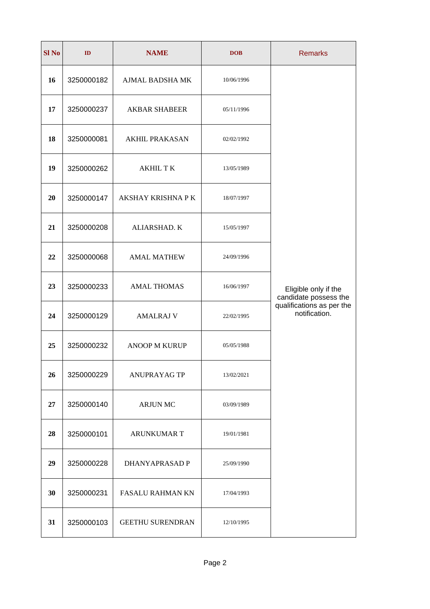| <b>Sl No</b> | ID         | <b>NAME</b>             | <b>DOB</b> | <b>Remarks</b>                                                                              |
|--------------|------------|-------------------------|------------|---------------------------------------------------------------------------------------------|
| 16           | 3250000182 | AJMAL BADSHA MK         | 10/06/1996 |                                                                                             |
| 17           | 3250000237 | <b>AKBAR SHABEER</b>    | 05/11/1996 |                                                                                             |
| 18           | 3250000081 | <b>AKHIL PRAKASAN</b>   | 02/02/1992 |                                                                                             |
| 19           | 3250000262 | <b>AKHIL TK</b>         | 13/05/1989 |                                                                                             |
| 20           | 3250000147 | AKSHAY KRISHNA P K      | 18/07/1997 |                                                                                             |
| 21           | 3250000208 | ALIARSHAD. K            | 15/05/1997 |                                                                                             |
| 22           | 3250000068 | <b>AMAL MATHEW</b>      | 24/09/1996 | Eligible only if the<br>candidate possess the<br>qualifications as per the<br>notification. |
| 23           | 3250000233 | <b>AMAL THOMAS</b>      | 16/06/1997 |                                                                                             |
| 24           | 3250000129 | <b>AMALRAJ V</b>        | 22/02/1995 |                                                                                             |
| 25           | 3250000232 | <b>ANOOP M KURUP</b>    | 05/05/1988 |                                                                                             |
| 26           | 3250000229 | <b>ANUPRAYAG TP</b>     | 13/02/2021 |                                                                                             |
| 27           | 3250000140 | <b>ARJUN MC</b>         | 03/09/1989 |                                                                                             |
| 28           | 3250000101 | <b>ARUNKUMAR T</b>      | 19/01/1981 |                                                                                             |
| 29           | 3250000228 | DHANYAPRASAD P          | 25/09/1990 |                                                                                             |
| 30           | 3250000231 | FASALU RAHMAN KN        | 17/04/1993 |                                                                                             |
| 31           | 3250000103 | <b>GEETHU SURENDRAN</b> | 12/10/1995 |                                                                                             |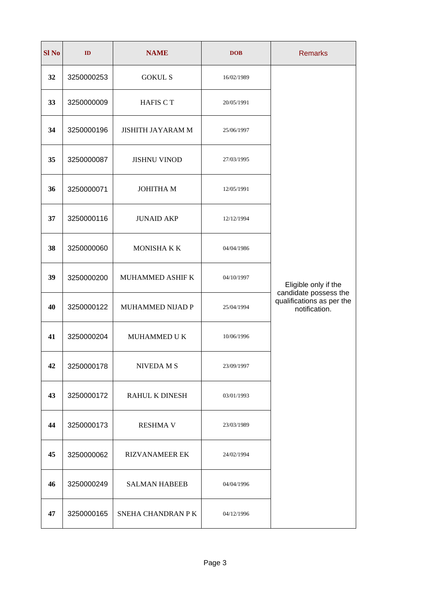| <b>Sl No</b> | ID         | <b>NAME</b>              | <b>DOB</b> | <b>Remarks</b>                                                                              |
|--------------|------------|--------------------------|------------|---------------------------------------------------------------------------------------------|
| 32           | 3250000253 | <b>GOKUL S</b>           | 16/02/1989 |                                                                                             |
| 33           | 3250000009 | <b>HAFIS CT</b>          | 20/05/1991 |                                                                                             |
| 34           | 3250000196 | <b>JISHITH JAYARAM M</b> | 25/06/1997 |                                                                                             |
| 35           | 3250000087 | <b>JISHNU VINOD</b>      | 27/03/1995 |                                                                                             |
| 36           | 3250000071 | <b>JOHITHA M</b>         | 12/05/1991 |                                                                                             |
| 37           | 3250000116 | <b>JUNAID AKP</b>        | 12/12/1994 |                                                                                             |
| 38           | 3250000060 | MONISHA K K              | 04/04/1986 | Eligible only if the<br>candidate possess the<br>qualifications as per the<br>notification. |
| 39           | 3250000200 | MUHAMMED ASHIF K         | 04/10/1997 |                                                                                             |
| 40           | 3250000122 | MUHAMMED NIJAD P         | 25/04/1994 |                                                                                             |
| 41           | 3250000204 | MUHAMMED U K             | 10/06/1996 |                                                                                             |
| 42           | 3250000178 | NIVEDA M S               | 23/09/1997 |                                                                                             |
| 43           | 3250000172 | RAHUL K DINESH           | 03/01/1993 |                                                                                             |
| 44           | 3250000173 | <b>RESHMA V</b>          | 23/03/1989 |                                                                                             |
| 45           | 3250000062 | <b>RIZVANAMEER EK</b>    | 24/02/1994 |                                                                                             |
| 46           | 3250000249 | <b>SALMAN HABEEB</b>     | 04/04/1996 |                                                                                             |
| 47           | 3250000165 | SNEHA CHANDRAN P K       | 04/12/1996 |                                                                                             |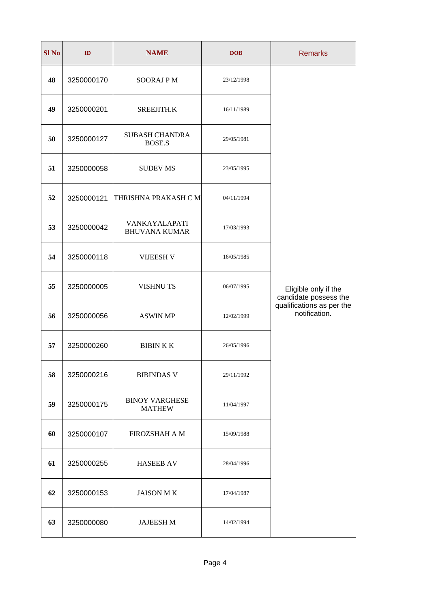| Sl <sub>No</sub> | ID         | <b>NAME</b>                            | <b>DOB</b> | <b>Remarks</b>                                                                              |
|------------------|------------|----------------------------------------|------------|---------------------------------------------------------------------------------------------|
| 48               | 3250000170 | <b>SOORAJ P M</b>                      | 23/12/1998 |                                                                                             |
| 49               | 3250000201 | SREEJITH.K                             | 16/11/1989 |                                                                                             |
| 50               | 3250000127 | <b>SUBASH CHANDRA</b><br><b>BOSE.S</b> | 29/05/1981 |                                                                                             |
| 51               | 3250000058 | <b>SUDEV MS</b>                        | 23/05/1995 |                                                                                             |
| 52               |            | 3250000121 THRISHNA PRAKASH C M        | 04/11/1994 |                                                                                             |
| 53               | 3250000042 | VANKAYALAPATI<br><b>BHUVANA KUMAR</b>  | 17/03/1993 |                                                                                             |
| 54               | 3250000118 | <b>VIJEESH V</b>                       | 16/05/1985 | Eligible only if the<br>candidate possess the<br>qualifications as per the<br>notification. |
| 55               | 3250000005 | <b>VISHNUTS</b>                        | 06/07/1995 |                                                                                             |
| 56               | 3250000056 | <b>ASWIN MP</b>                        | 12/02/1999 |                                                                                             |
| 57               | 3250000260 | <b>BIBINKK</b>                         | 26/05/1996 |                                                                                             |
| 58               | 3250000216 | <b>BIBINDAS V</b>                      | 29/11/1992 |                                                                                             |
| 59               | 3250000175 | <b>BINOY VARGHESE</b><br><b>MATHEW</b> | 11/04/1997 |                                                                                             |
| 60               | 3250000107 | FIROZSHAH A M                          | 15/09/1988 |                                                                                             |
| 61               | 3250000255 | <b>HASEEB AV</b>                       | 28/04/1996 |                                                                                             |
| 62               | 3250000153 | <b>JAISON MK</b>                       | 17/04/1987 |                                                                                             |
| 63               | 3250000080 | <b>JAJEESH M</b>                       | 14/02/1994 |                                                                                             |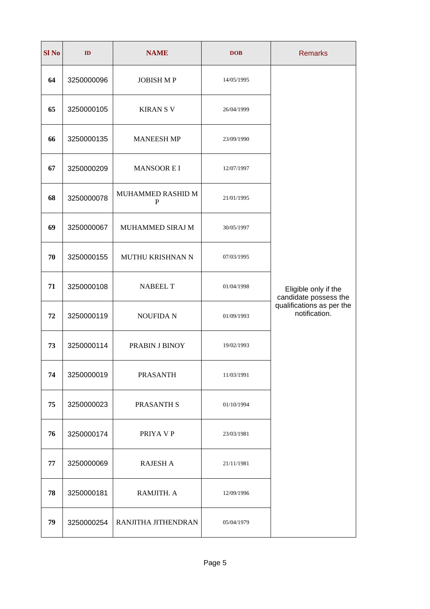| <b>Sl No</b> | ID         | <b>NAME</b>            | <b>DOB</b> | <b>Remarks</b>                                                                              |
|--------------|------------|------------------------|------------|---------------------------------------------------------------------------------------------|
| 64           | 3250000096 | <b>JOBISH MP</b>       | 14/05/1995 |                                                                                             |
| 65           | 3250000105 | <b>KIRAN S V</b>       | 26/04/1999 |                                                                                             |
| 66           | 3250000135 | <b>MANEESH MP</b>      | 23/09/1990 |                                                                                             |
| 67           | 3250000209 | <b>MANSOOR EI</b>      | 12/07/1997 |                                                                                             |
| 68           | 3250000078 | MUHAMMED RASHID M<br>P | 21/01/1995 |                                                                                             |
| 69           | 3250000067 | MUHAMMED SIRAJ M       | 30/05/1997 |                                                                                             |
| 70           | 3250000155 | MUTHU KRISHNAN N       | 07/03/1995 | Eligible only if the<br>candidate possess the<br>qualifications as per the<br>notification. |
| 71           | 3250000108 | <b>NABEEL T</b>        | 01/04/1998 |                                                                                             |
| 72           | 3250000119 | <b>NOUFIDAN</b>        | 01/09/1993 |                                                                                             |
| 73           | 3250000114 | PRABIN J BINOY         | 19/02/1993 |                                                                                             |
| 74           | 3250000019 | <b>PRASANTH</b>        | 11/03/1991 |                                                                                             |
| 75           | 3250000023 | PRASANTH S             | 01/10/1994 |                                                                                             |
| 76           | 3250000174 | PRIYA V P              | 23/03/1981 |                                                                                             |
| 77           | 3250000069 | RAJESH A               | 21/11/1981 |                                                                                             |
| 78           | 3250000181 | RAMJITH. A             | 12/09/1996 |                                                                                             |
| 79           | 3250000254 | RANJITHA JITHENDRAN    | 05/04/1979 |                                                                                             |